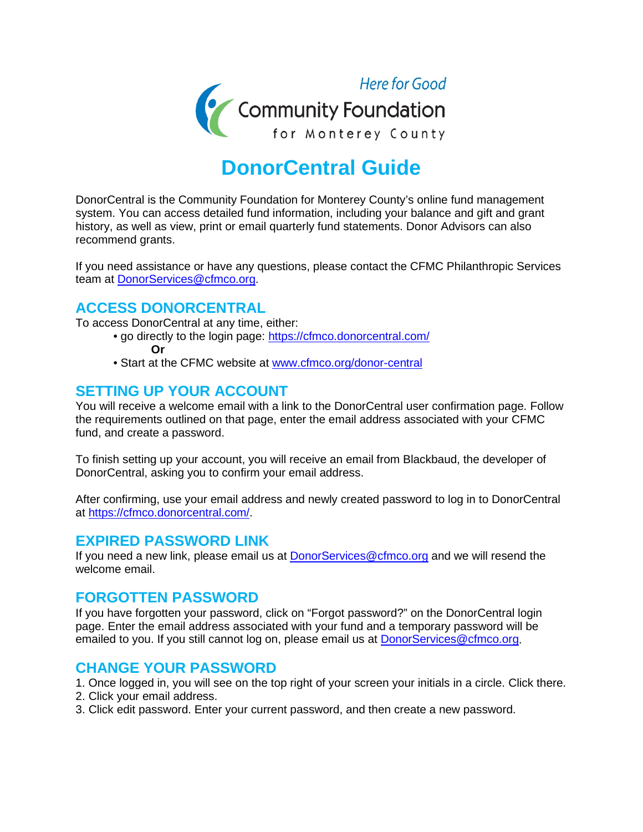

# **DonorCentral Guide**

DonorCentral is the Community Foundation for Monterey County's online fund management system. You can access detailed fund information, including your balance and gift and grant history, as well as view, print or email quarterly fund statements. Donor Advisors can also recommend grants.

If you need assistance or have any questions, please contact the CFMC Philanthropic Services team at **DonorServices@cfmco.org**.

## **ACCESS DONORCENTRAL**

To access DonorCentral at any time, either:

- go directly to the login page:<https://cfmco.donorcentral.com/> **Or**
- Start at the CFMC website at [www.cfmco.org/donor-central](http://www.cfmco.org/donor-central)

## **SETTING UP YOUR ACCOUNT**

You will receive a welcome email with a link to the DonorCentral user confirmation page. Follow the requirements outlined on that page, enter the email address associated with your CFMC fund, and create a password.

To finish setting up your account, you will receive an email from Blackbaud, the developer of DonorCentral, asking you to confirm your email address.

After confirming, use your email address and newly created password to log in to DonorCentral at [https://cfmco.donorcentral.com/.](https://cfmco.donorcentral.com/)

#### **EXPIRED PASSWORD LINK**

If you need a new link, please email us at [DonorServices@cfmco.org](mailto:DonorServices@cfmco.org) and we will resend the welcome email.

#### **FORGOTTEN PASSWORD**

If you have forgotten your password, click on "Forgot password?" on the DonorCentral login page. Enter the email address associated with your fund and a temporary password will be emailed to you. If you still cannot log on, please email us at [DonorServices@cfmco.org.](mailto:DonorServices@cfmco.org)

#### **CHANGE YOUR PASSWORD**

1. Once logged in, you will see on the top right of your screen your initials in a circle. Click there.

- 2. Click your email address.
- 3. Click edit password. Enter your current password, and then create a new password.